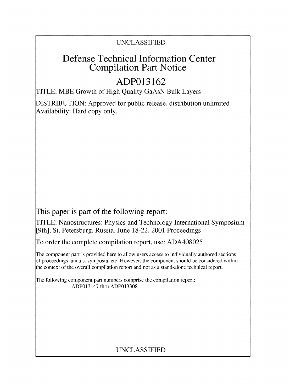## UNCLASSIFIED

## Defense Technical Information Center Compilation Part Notice

# **ADP013162**

TITLE: MBE Growth of High Quality GaAsN Bulk Layers

DISTRIBUTION: Approved for public release, distribution unlimited Availability: Hard copy only.

This paper is part of the following report:

TITLE: Nanostructures: Physics and Technology International Symposium [9th], St. Petersburg, Russia, June 18-22, 2001 Proceedings

To order the complete compilation report, use: ADA408025

The component part is provided here to allow users access to individually authored sections f proceedings, annals, symposia, etc. However, the component should be considered within the context of the overall compilation report and not as a stand-alone technical report.

The following component part numbers comprise the compilation report: ADP013147 thru ADP013308

### UNCLASSIFIED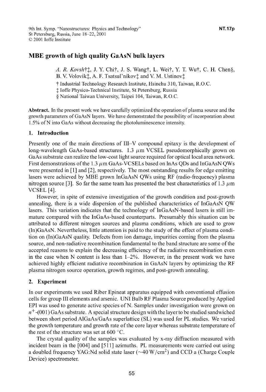### MBE growth of high quality GaAsN bulk layers

*A. R. Kovsht:,* J. Y. Chit, J. S. Wangt, L. Weit, Y. T. Wut, C. H. Chen§, B. V. Volovik<sup>†</sup>, A. F. Tsatsul'nikov‡ and V. M. Ustinov†

t Industrial Technology Research Institute, Hsinchu 310, Taiwan, R.O.C.

**I** loffe Physico-Technical Institute, St Petersburg, Russia

**§** National Taiwan University, Taipei 104, Taiwan, R.O.C.

Abstract. In the present work we have carefully optimized the operation of plasma source and the growth parameters of GaAsN layers. We have demonstrated the possibility of incorporation about 1.5% of N into GaAs without decreasing the photoluminescence intensity.

#### 1. Introduction

Presently one of the main directions of III-V compound epitaxy is the development of long-wavelength GaAs-based structures.  $1.3 \mu m$  VCSEL pseudomorphically grown on GaAs substrate can realize the low-cost light source required for optical local area network. First demonstrations of the 1.3  $\mu$ m GaAs-VCSELs based on InAs QDs and InGaAsN QWs were presented in **[1]** and [2], respectively. The most outstanding results for edge emitting lasers were achieved by MBE grown InGaAsN QWs using RF (radio-frequency) plasma nitrogen source [3]. So far the same team has presented the best characteristics of 1.3  $\mu$ m VCSEL [4].

However, in spite of extensive investigation of the growth condition and post-growth annealing, there is a wide dispersion of the published characteristics of InGaAsN QW lasers. This variation indicates that the technology of InGaAsN-based lasers is still immature compared with the InGaAs-based counterparts. Presumably this situation can be attributed to different nitrogen sources and plasma conditions, which are used to grow (In)GaAsN. Nevertheless, little attention is paid to the study of the effect of plasma condition on (In)GaAsN quality. Defects from ion damage, impurities coming from the plasma source, and non-radiative recombination fundamental to the band structure are some of the accepted reasons to explain the decreasing efficiency of the radiative recombination even in the case when N content is less than  $1-2\%$ . However, in the present work we have achieved highly efficient radiative recombination in GaAsN layers by optimizing the RF plasma nitrogen source operation, growth regimes, and post-growth annealing.

#### 2. Experiment

In our experiments we used Riber Epineat apparatus equipped with conventional effusion cells for group III elements and arsenic. UNI Bulb RF Plasma Source produced by Applied EPI was used to generate active species of N. Samples under investigation were grown on  $n^+$ -(001) GaAs substrate. A special structure design with the layer to be studied sandwiched between short period AlGaAs/GaAs superlattice (SL) was used for PL studies. We varied the growth temperature and growth rate of the core layer whereas substrate temperature of the rest of the structure was set at 600 **'C.**

The crystal quality of the samples was evaluated by x-ray diffraction measured with incident beam in the [004] and [511] azimuths. PL measurements were carried out using a doubled frequency YAG:Nd solid state laser ( $\sim$ 40 W/cm<sup>2</sup>) and CCD a (Charge Couple Device) spectrometer.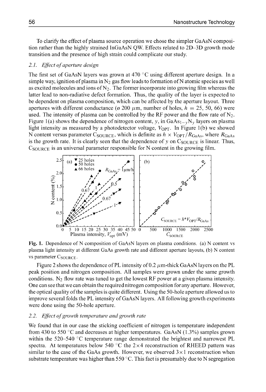To clarify the effect of plasma source operation we chose the simpler GaAsN composition rather than the highly strained InGaAsN QW. Effects related to 2D-3D growth mode transition and the presence of high strain could complicate our study.

#### *2.1. Effect of aperture design*

The first set of GaAsN layers was grown at 470 **'C** using different aperture design. In a simple way, ignition of plasma in  $N_2$  gas flow leads to formation of N atomic species as well as excited molecules and ions of  $N_2$ . The former incorporate into growing film whereas the latter lead to non-radiative defect formation. Thus, the quality of the layer is expected to be dependent on plasma composition, which can be affected by the aperture layout. Three apertures with different conductance ( $\alpha$  200  $\mu$ m, number of holes,  $h = 25, 50, 66$ ) were used. The intensity of plasma can be controlled by the RF power and the flow rate of  $N_2$ . Figure 1(a) shows the dependence of nitrogen content, y, in  $GaAs_{1-y}N_y$  layers on plasma light intensity as measured by a photodetector voltage,  $V_{\text{OPT}}$ . In Figure 1(b) we showed N content versus parameter C<sub>SOURCE</sub>, which is definite as  $h \times V_{\text{OPT}}/R_{\text{GaAs}}$ , where  $R_{\text{GaAs}}$ is the growth rate. It is clearly seen that the dependence of y on  $C_{\text{SOLIRCE}}$  is linear. Thus,  $C_{\text{SOURCE}}$  is an universal parameter responsible for N content in the growing film.



Fig. 1. Dependence of N composition of GaAsN layers on plasma conditions. (a) N content vs plasma light intensity at different GaAs growth rate and different aperture layouts, (b) N content vs parameter C<sub>SOURCE</sub>.

Figure 2 shows the dependence of PL intensity of 0.2  $\mu$ m-thick GaAsN layers on the PL peak position and nitrogen composition. All samples were grown under the same growth conditions.  $N_2$  flow rate was tuned to get the lowest RF power at a given plasma intensity. One can see that we can obtain the required nitrogen composition for any aperture. However, the optical quality ofthe samples is quite different. Using the 50-hole aperture allowed us to improve several folds the PL intensity of GaAsN layers. All following growth experiments were done using the 50-hole aperture.

#### *2.2. Effect of growth temperature and growth rate*

We found that in our case the sticking coefficient of nitrogen is temperature independent from 430 to 550 **'C** and decreases at higher temperatures. GaAsN (1.3%) samples grown within the 520-540 **'C** temperature range demonstrated the brightest and narrowest PL spectra. At temperatures below 540  $\degree$ C the 2 $\times$ 4 reconstruction of RHEED pattern was similar to the case of the GaAs growth. However, we observed  $3 \times 1$  reconstruction when substrate temperature was higher than 550 **'C.** This fact is presumably due to N segregation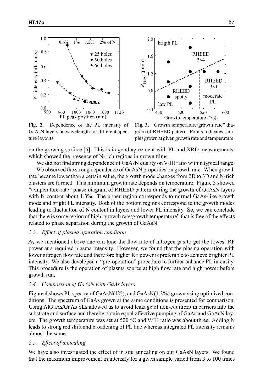



GaAsN layers on wavelength for different aper- gram of RHEED pattern. Points indicates samture layouts. ples grown at given growth rate and temperature.

Fig. 2. Dependence of the PL intensity of Fig. 3. "Growth temperature/growth rate" dia-

on the growing surface [5]. This is in good agreement with PL and XRD measurements, which showed the presence of N-rich regions in grown films.

We did not find strong dependence of GaAsN quality on V/III ratio within typical range.

We observed the strong dependence of GaAsN properties on growth rate. When growth rate became lower than a certain value, the growth mode changes from 2D to 3D and N-rich clusters are formed. This minimum growth rate depends on temperature. Figure 3 showed "temperature-rate" phase diagram of RHEED pattern during the growth of GaAsN layers with N content about **1.3%.** The upper region corresponds to normal GaAs-like growth mode and bright PL intensity. Both of the bottom regions correspond to the growth modes leading to fluctuation of N content in layers and lower PL intensity. So, we can conclude that there is some region of high "growth rate/growth temperature" that is free of the effects related to phase separation during the growth of GaAsN.

#### *2.3. Effect ofplasma operation condition*

As we mentioned above one can tune the flow rate of nitrogen gas to get the lowest RF power at a required plasma intensity. However, we found that the plasma operation with lower nitrogen flow rate and therefore higher RF power is preferable to achieve brighter PL intensity. We also developed a "pre-operation" procedure to further enhance PL intensity. This procedure is the operation of plasma source at high flow rate and high power before growth run.

#### *2.4. Comparison of GaAsN with GaAs layers*

Figure 4 shows PL spectra of GaAsN(1%), and GaAsN(1.3%) grown using optimized conditions. The spectrum of GaAs grown at the same conditions is presented for comparison. Using AlGaAs/GaAs SLs allowed us to avoid leakage of non-equilibrium carriers into the substrate and surface and thereby obtain equal effective pumping of GaAs and GaAsN layers. The growth temperature was set at 520 **'C** and V/Ill ratio was about three. Adding N leads to strong red shift and broadening of PL line whereas integrated PL intensity remains almost the same.

#### *2.5. Effect of annealing*

We have also investigated the effect of in situ annealing on our GaAsN layers. We found that the maximum improvement in intensity for a given sample varied from 3 to 100 times